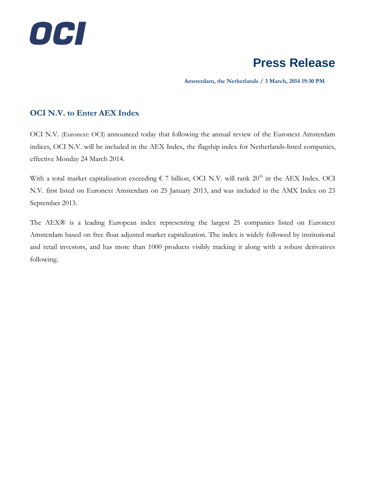

# **Press Release**

 **Amsterdam, the Netherlands / 3 March, 2014 19:30 PM**

### **OCI N.V. to Enter AEX Index**

OCI N.V. (Euronext: OCI) announced today that following the annual review of the Euronext Amsterdam indices, OCI N.V. will be included in the AEX Index, the flagship index for Netherlands-listed companies, effective Monday 24 March 2014.

With a total market capitalization exceeding  $\epsilon$  7 billion, OCI N.V. will rank 20<sup>th</sup> in the AEX Index. OCI N.V. first listed on Euronext Amsterdam on 25 January 2013, and was included in the AMX Index on 23 September 2013.

The AEX® is a leading European index representing the largest 25 companies listed on Euronext Amsterdam based on free float adjusted market capitalization. The index is widely followed by institutional and retail investors, and has more than 1000 products visibly tracking it along with a robust derivatives following.